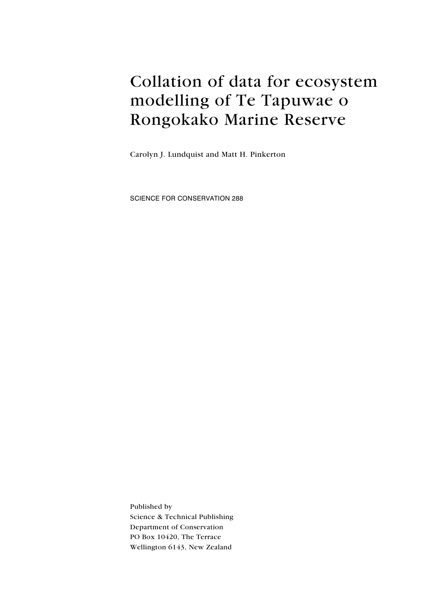# Collation of data for ecosystem modelling of Te Tapuwae o Rongokako Marine Reserve

Carolyn J. Lundquist and Matt H. Pinkerton

Science for conservatioN 288

Published by Science & Technical Publishing Department of Conservation PO Box 10420, The Terrace Wellington 6143, New Zealand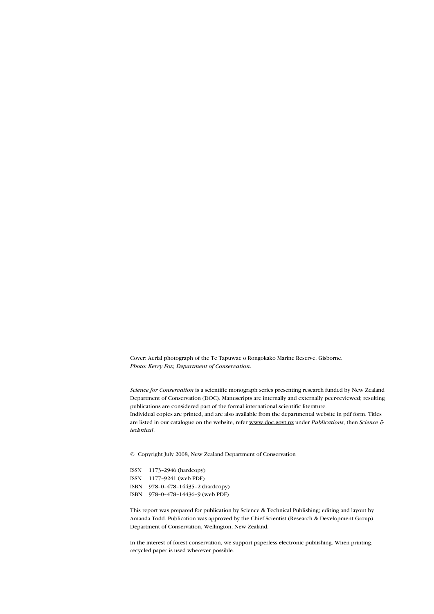Cover: Aerial photograph of the Te Tapuwae o Rongokako Marine Reserve, Gisborne. Photo: Kerry Fox, Department of Conservation.

Science for Conservation is a scientific monograph series presenting research funded by New Zealand Department of Conservation (DOC). Manuscripts are internally and externally peer-reviewed; resulting publications are considered part of the formal international scientific literature. Individual copies are printed, and are also available from the departmental website in pdf form. Titles are listed in our catalogue on the website, refer www.doc.govt.nz under Publications, then Science & technical.

© Copyright July 2008, New Zealand Department of Conservation

ISSN 1173–2946 (hardcopy) ISSN 1177–9241 (web PDF) ISBN 978–0–478–14435–2 (hardcopy) ISBN 978–0–478–14436–9 (web PDF)

This report was prepared for publication by Science & Technical Publishing; editing and layout by Amanda Todd. Publication was approved by the Chief Scientist (Research & Development Group), Department of Conservation, Wellington, New Zealand.

In the interest of forest conservation, we support paperless electronic publishing. When printing, recycled paper is used wherever possible.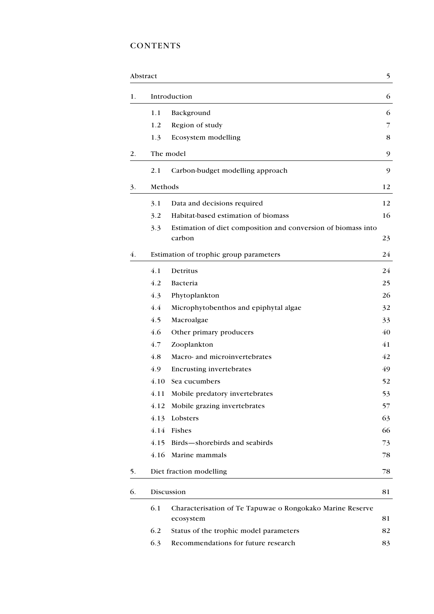# **CONTENTS**

| Abstract |         |                                                               | 5  |
|----------|---------|---------------------------------------------------------------|----|
| 1.       |         | Introduction                                                  | 6  |
|          | 1.1     | Background                                                    | 6  |
|          | 1.2     | Region of study                                               | 7  |
|          | 1.3     | Ecosystem modelling                                           | 8  |
| 2.       |         | The model                                                     | 9  |
|          | 2.1     | Carbon-budget modelling approach                              | 9  |
| 3.       | Methods |                                                               | 12 |
|          | 3.1     | Data and decisions required                                   | 12 |
|          | 3.2     | Habitat-based estimation of biomass                           | 16 |
|          | 3.3     | Estimation of diet composition and conversion of biomass into |    |
|          |         | carbon                                                        | 23 |
| 4.       |         | Estimation of trophic group parameters                        | 24 |
|          | 4.1     | Detritus                                                      | 24 |
|          | 4.2     | Bacteria                                                      | 25 |
|          | 4.3     | Phytoplankton                                                 | 26 |
|          | 4.4     | Microphytobenthos and epiphytal algae                         | 32 |
|          | 4.5     | Macroalgae                                                    | 33 |
|          | 4.6     | Other primary producers                                       | 40 |
|          | 4.7     | Zooplankton                                                   | 41 |
|          | 4.8     | Macro- and microinvertebrates                                 | 42 |
|          | 4.9     | Encrusting invertebrates                                      | 49 |
|          | 4.10    | Sea cucumbers                                                 | 52 |
|          | 4.11    | Mobile predatory invertebrates                                | 53 |
|          | 4.12    | Mobile grazing invertebrates                                  | 57 |
|          | 4.13    | Lobsters                                                      | 63 |
|          | 4.14    | Fishes                                                        | 66 |
|          | 4.15    | Birds-shorebirds and seabirds                                 | 73 |
|          | 4.16    | Marine mammals                                                | 78 |
| 5.       |         | Diet fraction modelling                                       | 78 |
| 6.       |         | Discussion                                                    | 81 |
|          | 6.1     | Characterisation of Te Tapuwae o Rongokako Marine Reserve     |    |
|          |         | ecosystem                                                     | 81 |
|          | 6.2     | Status of the trophic model parameters                        | 82 |
|          | 6.3     | Recommendations for future research                           | 83 |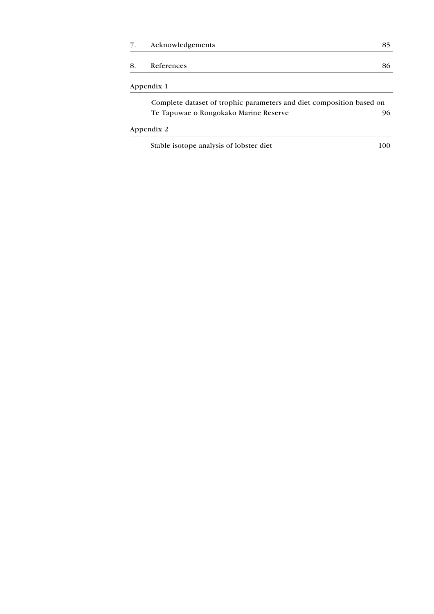|    | Acknowledgements                                                     | 85 |
|----|----------------------------------------------------------------------|----|
| 8. | References                                                           | 86 |
|    | Appendix 1                                                           |    |
|    | Complete dataset of trophic parameters and diet composition based on |    |
|    | Te Tapuwae o Rongokako Marine Reserve                                | 96 |
|    | Appendix 2                                                           |    |

Stable isotope analysis of lobster diet 100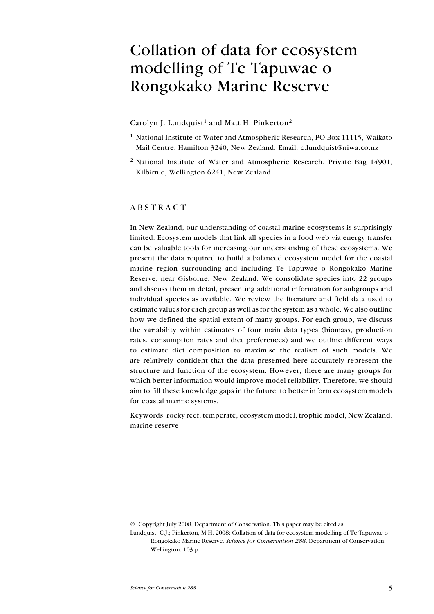# Collation of data for ecosystem modelling of Te Tapuwae o Rongokako Marine Reserve

### Carolyn J. Lundquist<sup>1</sup> and Matt H. Pinkerton<sup>2</sup>

- <sup>1</sup> National Institute of Water and Atmospheric Research, PO Box 11115, Waikato Mail Centre, Hamilton 3240, New Zealand. Email: c.lundquist@niwa.co.nz
- <sup>2</sup> National Institute of Water and Atmospheric Research, Private Bag 14901, Kilbirnie, Wellington 6241, New Zealand

## **ABSTRACT**

In New Zealand, our understanding of coastal marine ecosystems is surprisingly limited. Ecosystem models that link all species in a food web via energy transfer can be valuable tools for increasing our understanding of these ecosystems. We present the data required to build a balanced ecosystem model for the coastal marine region surrounding and including Te Tapuwae o Rongokako Marine Reserve, near Gisborne, New Zealand. We consolidate species into 22 groups and discuss them in detail, presenting additional information for subgroups and individual species as available. We review the literature and field data used to estimate values for each group as well as for the system as a whole. We also outline how we defined the spatial extent of many groups. For each group, we discuss the variability within estimates of four main data types (biomass, production rates, consumption rates and diet preferences) and we outline different ways to estimate diet composition to maximise the realism of such models. We are relatively confident that the data presented here accurately represent the structure and function of the ecosystem. However, there are many groups for which better information would improve model reliability. Therefore, we should aim to fill these knowledge gaps in the future, to better inform ecosystem models for coastal marine systems.

Keywords: rocky reef, temperate, ecosystem model, trophic model, New Zealand, marine reserve

<sup>©</sup> Copyright July 2008, Department of Conservation. This paper may be cited as:

Lundquist, C.J.; Pinkerton, M.H. 2008: Collation of data for ecosystem modelling of Te Tapuwae o Rongokako Marine Reserve. Science for Conservation 288. Department of Conservation, Wellington. 103 p.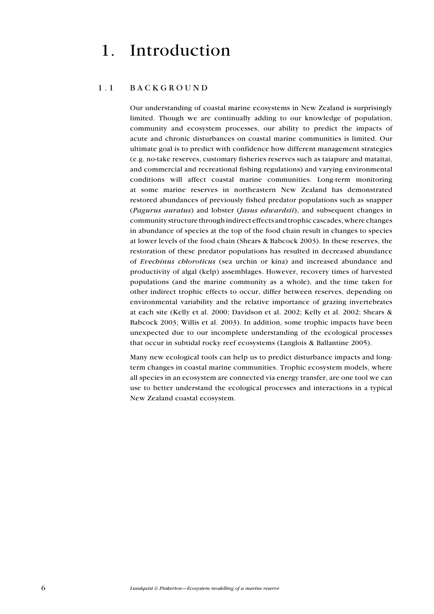# 1. Introduction

## 1.1 BACKGROUND

Our understanding of coastal marine ecosystems in New Zealand is surprisingly limited. Though we are continually adding to our knowledge of population, community and ecosystem processes, our ability to predict the impacts of acute and chronic disturbances on coastal marine communities is limited. Our ultimate goal is to predict with confidence how different management strategies (e.g. no-take reserves, customary fisheries reserves such as taiapure and mataitai, and commercial and recreational fishing regulations) and varying environmental conditions will affect coastal marine communities. Long-term monitoring at some marine reserves in northeastern New Zealand has demonstrated restored abundances of previously fished predator populations such as snapper (Pagurus auratus) and lobster (Jasus edwardsii), and subsequent changes in community structure through indirect effects and trophic cascades, where changes in abundance of species at the top of the food chain result in changes to species at lower levels of the food chain (Shears & Babcock 2003). In these reserves, the restoration of these predator populations has resulted in decreased abundance of Evechinus chloroticus (sea urchin or kina) and increased abundance and productivity of algal (kelp) assemblages. However, recovery times of harvested populations (and the marine community as a whole), and the time taken for other indirect trophic effects to occur, differ between reserves, depending on environmental variability and the relative importance of grazing invertebrates at each site (Kelly et al. 2000; Davidson et al. 2002; Kelly et al. 2002; Shears & Babcock 2003; Willis et al. 2003). In addition, some trophic impacts have been unexpected due to our incomplete understanding of the ecological processes that occur in subtidal rocky reef ecosystems (Langlois & Ballantine 2005).

Many new ecological tools can help us to predict disturbance impacts and longterm changes in coastal marine communities. Trophic ecosystem models, where all species in an ecosystem are connected via energy transfer, are one tool we can use to better understand the ecological processes and interactions in a typical New Zealand coastal ecosystem.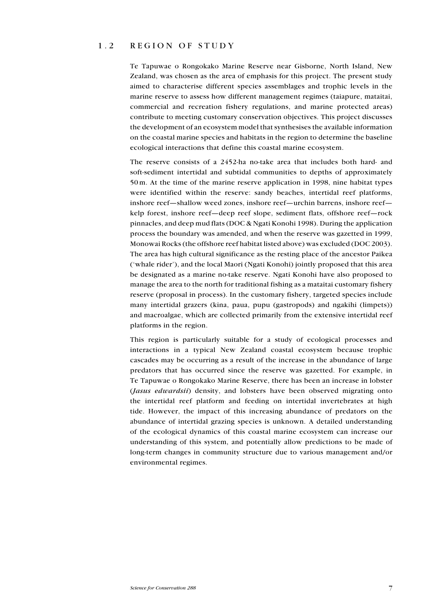## 1.2 REGION OF STUDY

Te Tapuwae o Rongokako Marine Reserve near Gisborne, North Island, New Zealand, was chosen as the area of emphasis for this project. The present study aimed to characterise different species assemblages and trophic levels in the marine reserve to assess how different management regimes (taiapure, mataitai, commercial and recreation fishery regulations, and marine protected areas) contribute to meeting customary conservation objectives. This project discusses the development of an ecosystem model that synthesises the available information on the coastal marine species and habitats in the region to determine the baseline ecological interactions that define this coastal marine ecosystem.

The reserve consists of a 2452-ha no-take area that includes both hard- and soft-sediment intertidal and subtidal communities to depths of approximately 50 m. At the time of the marine reserve application in 1998, nine habitat types were identified within the reserve: sandy beaches, intertidal reef platforms, inshore reef—shallow weed zones, inshore reef—urchin barrens, inshore reef kelp forest, inshore reef—deep reef slope, sediment flats, offshore reef—rock pinnacles, and deep mud flats (DOC & Ngati Konohi 1998). During the application process the boundary was amended, and when the reserve was gazetted in 1999, Monowai Rocks (the offshore reef habitat listed above) was excluded (DOC 2003). The area has high cultural significance as the resting place of the ancestor Paikea ('whale rider'), and the local Maori (Ngati Konohi) jointly proposed that this area be designated as a marine no-take reserve. Ngati Konohi have also proposed to manage the area to the north for traditional fishing as a mataitai customary fishery reserve (proposal in process). In the customary fishery, targeted species include many intertidal grazers (kina, paua, pupu (gastropods) and ngakihi (limpets)) and macroalgae, which are collected primarily from the extensive intertidal reef platforms in the region.

This region is particularly suitable for a study of ecological processes and interactions in a typical New Zealand coastal ecosystem because trophic cascades may be occurring as a result of the increase in the abundance of large predators that has occurred since the reserve was gazetted. For example, in Te Tapuwae o Rongokako Marine Reserve, there has been an increase in lobster (*Jasus edwardsif*) density, and lobsters have been observed migrating onto the intertidal reef platform and feeding on intertidal invertebrates at high tide. However, the impact of this increasing abundance of predators on the abundance of intertidal grazing species is unknown. A detailed understanding of the ecological dynamics of this coastal marine ecosystem can increase our understanding of this system, and potentially allow predictions to be made of long-term changes in community structure due to various management and/or environmental regimes.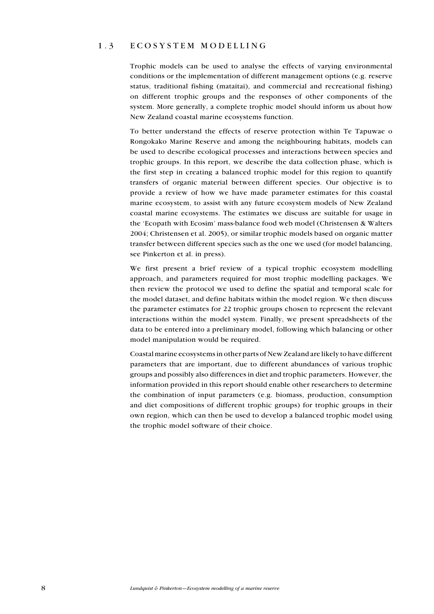## 1.3 ECOSYSTEM MODELLING

Trophic models can be used to analyse the effects of varying environmental conditions or the implementation of different management options (e.g. reserve status, traditional fishing (mataitai), and commercial and recreational fishing) on different trophic groups and the responses of other components of the system. More generally, a complete trophic model should inform us about how New Zealand coastal marine ecosystems function.

To better understand the effects of reserve protection within Te Tapuwae o Rongokako Marine Reserve and among the neighbouring habitats, models can be used to describe ecological processes and interactions between species and trophic groups. In this report, we describe the data collection phase, which is the first step in creating a balanced trophic model for this region to quantify transfers of organic material between different species. Our objective is to provide a review of how we have made parameter estimates for this coastal marine ecosystem, to assist with any future ecosystem models of New Zealand coastal marine ecosystems. The estimates we discuss are suitable for usage in the 'Ecopath with Ecosim' mass-balance food web model (Christensen & Walters 2004; Christensen et al. 2005), or similar trophic models based on organic matter transfer between different species such as the one we used (for model balancing, see Pinkerton et al. in press).

We first present a brief review of a typical trophic ecosystem modelling approach, and parameters required for most trophic modelling packages. We then review the protocol we used to define the spatial and temporal scale for the model dataset, and define habitats within the model region. We then discuss the parameter estimates for 22 trophic groups chosen to represent the relevant interactions within the model system. Finally, we present spreadsheets of the data to be entered into a preliminary model, following which balancing or other model manipulation would be required.

Coastal marine ecosystems in other parts of New Zealand are likely to have different parameters that are important, due to different abundances of various trophic groups and possibly also differences in diet and trophic parameters. However, the information provided in this report should enable other researchers to determine the combination of input parameters (e.g. biomass, production, consumption and diet compositions of different trophic groups) for trophic groups in their own region, which can then be used to develop a balanced trophic model using the trophic model software of their choice.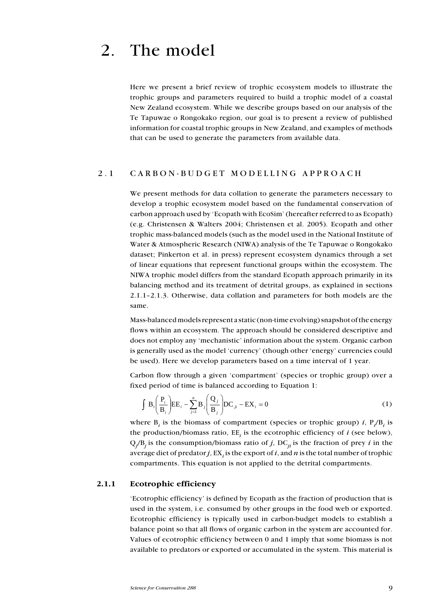# 2. The model

Here we present a brief review of trophic ecosystem models to illustrate the trophic groups and parameters required to build a trophic model of a coastal New Zealand ecosystem. While we describe groups based on our analysis of the Te Tapuwae o Rongokako region, our goal is to present a review of published information for coastal trophic groups in New Zealand, and examples of methods that can be used to generate the parameters from available data.

## 2.1 CARBON-BUDGET MODELLING APPROACH

We present methods for data collation to generate the parameters necessary to develop a trophic ecosystem model based on the fundamental conservation of carbon approach used by 'Ecopath with EcoSim' (hereafter referred to as Ecopath) (e.g. Christensen & Walters 2004; Christensen et al. 2005). Ecopath and other trophic mass-balanced models (such as the model used in the National Institute of Water & Atmospheric Research (NIWA) analysis of the Te Tapuwae o Rongokako dataset; Pinkerton et al. in press) represent ecosystem dynamics through a set of linear equations that represent functional groups within the ecosystem. The NIWA trophic model differs from the standard Ecopath approach primarily in its balancing method and its treatment of detrital groups, as explained in sections 2.1.1–2.1.3. Otherwise, data collation and parameters for both models are the same.

Mass-balanced models represent a static (non-time evolving) snapshot of the energy flows within an ecosystem. The approach should be considered descriptive and does not employ any 'mechanistic' information about the system. Organic carbon is generally used as the model 'currency' (though other 'energy' currencies could be used). Here we develop parameters based on a time interval of 1 year.

Carbon flow through a given 'compartment' (species or trophic group) over a fixed period of time is balanced according to Equation 1:

$$
\int \mathbf{B}_{i} \left( \frac{\mathbf{P}_{i}}{\mathbf{B}_{i}} \right) \mathbf{E} \mathbf{E}_{i} - \sum_{j=1}^{n} \mathbf{B}_{j} \left( \frac{\mathbf{Q}_{j}}{\mathbf{B}_{j}} \right) \mathbf{D} \mathbf{C}_{ji} - \mathbf{E} \mathbf{X}_{i} = 0
$$
\n(1)

where  $B_i$  is the biomass of compartment (species or trophic group) *i*,  $P_i/B_i$  is the production/biomass ratio,  $EE_i$  is the ecotrophic efficiency of *i* (see below),  $Q_j/B_j$  is the consumption/biomass ratio of j, DC<sub>ji</sub> is the fraction of prey i in the average diet of predator  $j$ , EX $_i$  is the export of  $i$ , and  $n$  is the total number of trophic compartments. This equation is not applied to the detrital compartments.

## 2.1.1 Ecotrophic efficiency

'Ecotrophic efficiency' is defined by Ecopath as the fraction of production that is used in the system, i.e. consumed by other groups in the food web or exported. Ecotrophic efficiency is typically used in carbon-budget models to establish a balance point so that all flows of organic carbon in the system are accounted for. Values of ecotrophic efficiency between 0 and 1 imply that some biomass is not available to predators or exported or accumulated in the system. This material is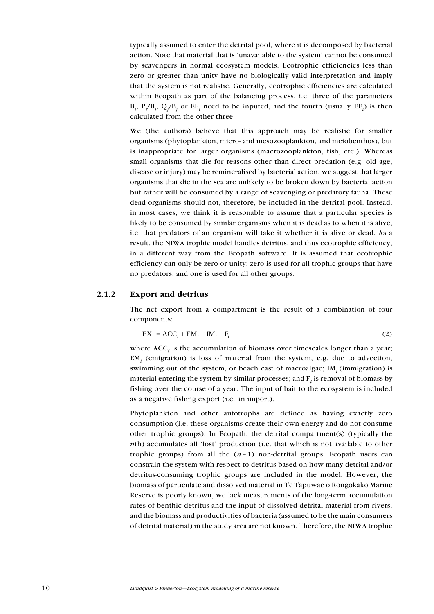typically assumed to enter the detrital pool, where it is decomposed by bacterial action. Note that material that is 'unavailable to the system' cannot be consumed by scavengers in normal ecosystem models. Ecotrophic efficiencies less than zero or greater than unity have no biologically valid interpretation and imply that the system is not realistic. Generally, ecotrophic efficiencies are calculated within Ecopath as part of the balancing process, i.e. three of the parameters  $B_i$ ,  $P_i/B_i$ ,  $Q_i/B_j$  or  $EE_i$  need to be inputed, and the fourth (usually  $EE_i$ ) is then calculated from the other three.

We (the authors) believe that this approach may be realistic for smaller organisms (phytoplankton, micro- and mesozooplankton, and meiobenthos), but is inappropriate for larger organisms (macrozooplankton, fish, etc.). Whereas small organisms that die for reasons other than direct predation (e.g. old age, disease or injury) may be remineralised by bacterial action, we suggest that larger organisms that die in the sea are unlikely to be broken down by bacterial action but rather will be consumed by a range of scavenging or predatory fauna. These dead organisms should not, therefore, be included in the detrital pool. Instead, in most cases, we think it is reasonable to assume that a particular species is likely to be consumed by similar organisms when it is dead as to when it is alive, i.e. that predators of an organism will take it whether it is alive or dead. As a result, the NIWA trophic model handles detritus, and thus ecotrophic efficiency, in a different way from the Ecopath software. It is assumed that ecotrophic efficiency can only be zero or unity: zero is used for all trophic groups that have no predators, and one is used for all other groups.

#### 2.1.2 Export and detritus

The net export from a compartment is the result of a combination of four components:

$$
EX_i = ACC_i + EM_i - IM_i + F_i
$$
 (2)

where  $ACC<sub>i</sub>$  is the accumulation of biomass over timescales longer than a year;  $EM<sub>i</sub>$  (emigration) is loss of material from the system, e.g. due to advection, swimming out of the system, or beach cast of macroalgae; IM, (immigration) is material entering the system by similar processes; and  $F_i$  is removal of biomass by fishing over the course of a year. The input of bait to the ecosystem is included as a negative fishing export (i.e. an import).

Phytoplankton and other autotrophs are defined as having exactly zero consumption (i.e. these organisms create their own energy and do not consume other trophic groups). In Ecopath, the detrital compartment(s) (typically the nth) accumulates all 'lost' production (i.e. that which is not available to other trophic groups) from all the  $(n-1)$  non-detrital groups. Ecopath users can constrain the system with respect to detritus based on how many detrital and/or detritus-consuming trophic groups are included in the model. However, the biomass of particulate and dissolved material in Te Tapuwae o Rongokako Marine Reserve is poorly known, we lack measurements of the long-term accumulation rates of benthic detritus and the input of dissolved detrital material from rivers, and the biomass and productivities of bacteria (assumed to be the main consumers of detrital material) in the study area are not known. Therefore, the NIWA trophic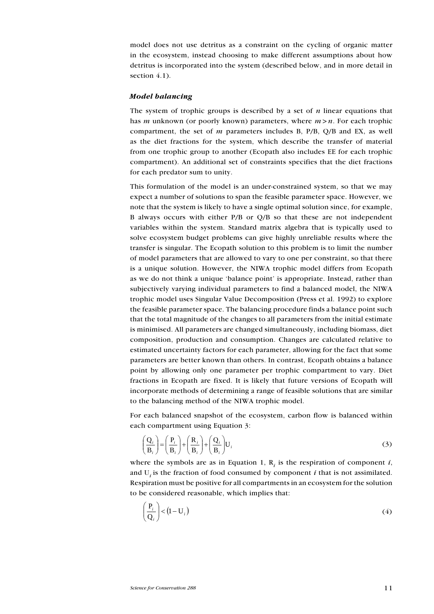model does not use detritus as a constraint on the cycling of organic matter in the ecosystem, instead choosing to make different assumptions about how detritus is incorporated into the system (described below, and in more detail in section 4.1).

#### Model balancing

The system of trophic groups is described by a set of  $n$  linear equations that has *m* unknown (or poorly known) parameters, where  $m > n$ . For each trophic compartment, the set of  $m$  parameters includes B,  $P/B$ ,  $Q/B$  and EX, as well as the diet fractions for the system, which describe the transfer of material from one trophic group to another (Ecopath also includes EE for each trophic compartment). An additional set of constraints specifies that the diet fractions for each predator sum to unity.

This formulation of the model is an under-constrained system, so that we may expect a number of solutions to span the feasible parameter space. However, we note that the system is likely to have a single optimal solution since, for example, B always occurs with either P/B or Q/B so that these are not independent variables within the system. Standard matrix algebra that is typically used to solve ecosystem budget problems can give highly unreliable results where the transfer is singular. The Ecopath solution to this problem is to limit the number of model parameters that are allowed to vary to one per constraint, so that there is a unique solution. However, the NIWA trophic model differs from Ecopath as we do not think a unique 'balance point' is appropriate. Instead, rather than subjectively varying individual parameters to find a balanced model, the NIWA trophic model uses Singular Value Decomposition (Press et al. 1992) to explore the feasible parameter space. The balancing procedure finds a balance point such that the total magnitude of the changes to all parameters from the initial estimate is minimised. All parameters are changed simultaneously, including biomass, diet composition, production and consumption. Changes are calculated relative to estimated uncertainty factors for each parameter, allowing for the fact that some parameters are better known than others. In contrast, Ecopath obtains a balance point by allowing only one parameter per trophic compartment to vary. Diet fractions in Ecopath are fixed. It is likely that future versions of Ecopath will incorporate methods of determining a range of feasible solutions that are similar to the balancing method of the NIWA trophic model.

For each balanced snapshot of the ecosystem, carbon flow is balanced within each compartment using Equation 3:

$$
\left(\frac{\mathbf{Q}_i}{\mathbf{B}_i}\right) = \left(\frac{\mathbf{P}_i}{\mathbf{B}_i}\right) + \left(\frac{\mathbf{R}_i}{\mathbf{B}_i}\right) + \left(\frac{\mathbf{Q}_i}{\mathbf{B}_i}\right) \mathbf{U}_i
$$
\n(3)

where the symbols are as in Equation 1,  $R_i$ , is the respiration of component i, and U<sub>i</sub> is the fraction of food consumed by component  $i$  that is not assimilated. Respiration must be positive for all compartments in an ecosystem for the solution to be considered reasonable, which implies that:

$$
\left(\frac{\mathbf{P}_i}{\mathbf{Q}_i}\right) < \left(\mathbf{I} - \mathbf{U}_i\right) \tag{4}
$$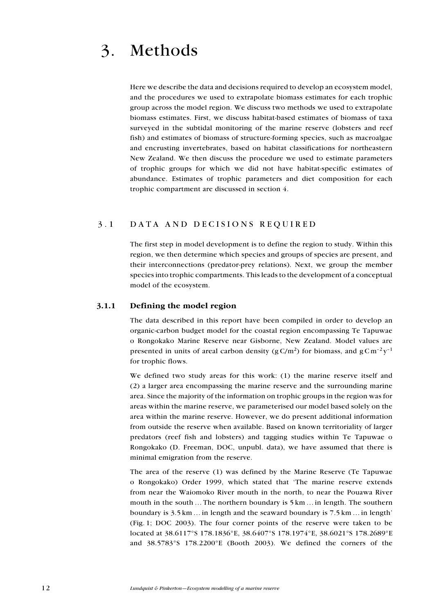# 3. Methods

Here we describe the data and decisions required to develop an ecosystem model, and the procedures we used to extrapolate biomass estimates for each trophic group across the model region. We discuss two methods we used to extrapolate biomass estimates. First, we discuss habitat-based estimates of biomass of taxa surveyed in the subtidal monitoring of the marine reserve (lobsters and reef fish) and estimates of biomass of structure-forming species, such as macroalgae and encrusting invertebrates, based on habitat classifications for northeastern New Zealand. We then discuss the procedure we used to estimate parameters of trophic groups for which we did not have habitat-specific estimates of abundance. Estimates of trophic parameters and diet composition for each trophic compartment are discussed in section 4.

## 3.1 DATA AND DECISIONS REQUIRED

The first step in model development is to define the region to study. Within this region, we then determine which species and groups of species are present, and their interconnections (predator-prey relations). Next, we group the member species into trophic compartments. This leads to the development of a conceptual model of the ecosystem.

#### 3.1.1 Defining the model region

The data described in this report have been compiled in order to develop an organic-carbon budget model for the coastal region encompassing Te Tapuwae o Rongokako Marine Reserve near Gisborne, New Zealand. Model values are presented in units of areal carbon density (gC/m<sup>2</sup>) for biomass, and gCm<sup>-2</sup>y<sup>-1</sup> for trophic flows.

We defined two study areas for this work: (1) the marine reserve itself and (2) a larger area encompassing the marine reserve and the surrounding marine area. Since the majority of the information on trophic groups in the region was for areas within the marine reserve, we parameterised our model based solely on the area within the marine reserve. However, we do present additional information from outside the reserve when available. Based on known territoriality of larger predators (reef fish and lobsters) and tagging studies within Te Tapuwae o Rongokako (D. Freeman, DOC, unpubl. data), we have assumed that there is minimal emigration from the reserve.

The area of the reserve (1) was defined by the Marine Reserve (Te Tapuwae o Rongokako) Order 1999, which stated that 'The marine reserve extends from near the Waiomoko River mouth in the north, to near the Pouawa River mouth in the south … The northern boundary is 5 km … in length. The southern boundary is 3.5 km … in length and the seaward boundary is 7.5 km … in length' (Fig. 1; DOC 2003). The four corner points of the reserve were taken to be located at 38.6117°S 178.1836°E, 38.6407°S 178.1974°E, 38.6021°S 178.2689°E and 38.5783°S 178.2200°E (Booth 2003). We defined the corners of the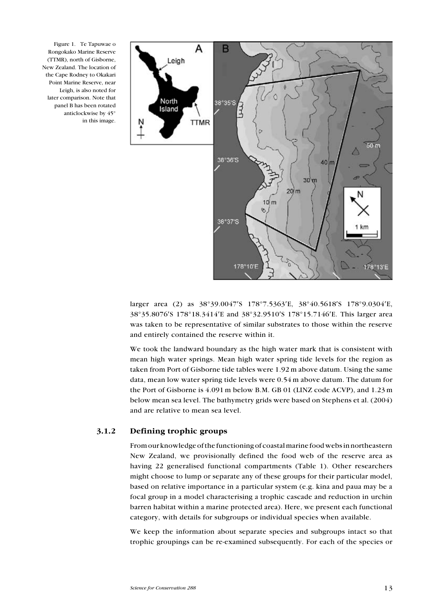Figure 1. Te Tapuwae o Rongokako Marine Reserve (TTMR), north of Gisborne, New Zealand. The location of the Cape Rodney to Okakari Point Marine Reserve, near Leigh, is also noted for later comparison. Note that panel B has been rotated anticlockwise by 45° in this image.



larger area (2) as 38°39.0047′S 178°7.5363′E, 38°40.5618′S 178°9.0304′E, 38°35.8076′S 178°18.3414′E and 38°32.9510′S 178°15.7146′E. This larger area was taken to be representative of similar substrates to those within the reserve and entirely contained the reserve within it.

We took the landward boundary as the high water mark that is consistent with mean high water springs. Mean high water spring tide levels for the region as taken from Port of Gisborne tide tables were 1.92 m above datum. Using the same data, mean low water spring tide levels were 0.54 m above datum. The datum for the Port of Gisborne is 4.091 m below B.M. GB 01 (LINZ code ACVP), and 1.23 m below mean sea level. The bathymetry grids were based on Stephens et al. (2004) and are relative to mean sea level.

#### 3.1.2 Defining trophic groups

From our knowledge of the functioning of coastal marine food webs in northeastern New Zealand, we provisionally defined the food web of the reserve area as having 22 generalised functional compartments (Table 1). Other researchers might choose to lump or separate any of these groups for their particular model, based on relative importance in a particular system (e.g. kina and paua may be a focal group in a model characterising a trophic cascade and reduction in urchin barren habitat within a marine protected area). Here, we present each functional category, with details for subgroups or individual species when available.

We keep the information about separate species and subgroups intact so that trophic groupings can be re-examined subsequently. For each of the species or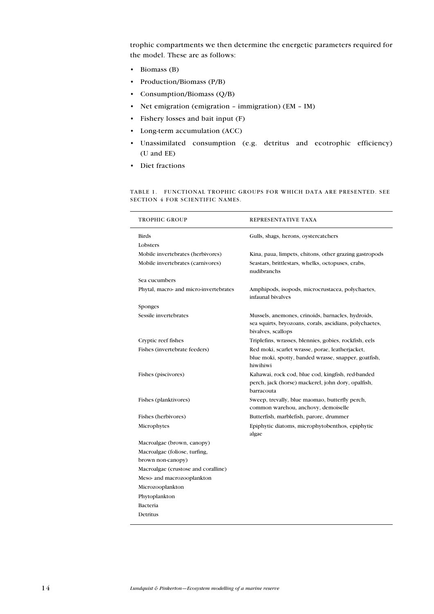trophic compartments we then determine the energetic parameters required for the model. These are as follows:

- Biomass (B)
- • Production/Biomass (P/B)
- • Consumption/Biomass (Q/B)
- • Net emigration (emigration immigration) (EM IM)
- • Fishery losses and bait input (F)
- • Long-term accumulation (ACC)
- • Unassimilated consumption (e.g. detritus and ecotrophic efficiency) (U and EE)
- Diet fractions

Table 1. Functional trophic groups for which data are presented. See section 4 for scientific names.

| <b>TROPHIC GROUP</b>                   | REPRESENTATIVE TAXA                                                                                                                |
|----------------------------------------|------------------------------------------------------------------------------------------------------------------------------------|
| Birds                                  | Gulls, shags, herons, oystercatchers                                                                                               |
| Lobsters                               |                                                                                                                                    |
| Mobile invertebrates (herbivores)      | Kina, paua, limpets, chitons, other grazing gastropods                                                                             |
| Mobile invertebrates (carnivores)      | Seastars, brittlestars, whelks, octopuses, crabs,<br>nudibranchs                                                                   |
| Sea cucumbers                          |                                                                                                                                    |
| Phytal, macro- and micro-invertebrates | Amphipods, isopods, microcrustacea, polychaetes,<br>infaunal bivalves                                                              |
| Sponges                                |                                                                                                                                    |
| Sessile invertebrates                  | Mussels, anemones, crinoids, barnacles, hydroids,<br>sea squirts, bryozoans, corals, ascidians, polychaetes,<br>bivalves, scallops |
| Cryptic reef fishes                    | Triplefins, wrasses, blennies, gobies, rockfish, eels                                                                              |
| Fishes (invertebrate feeders)          | Red moki, scarlet wrasse, porae, leatherjacket,<br>blue moki, spotty, banded wrasse, snapper, goatfish,<br>hiwihiwi                |
| Fishes (piscivores)                    | Kahawai, rock cod, blue cod, kingfish, red-banded<br>perch, jack (horse) mackerel, john dory, opalfish,<br>barracouta              |
| Fishes (planktivores)                  | Sweep, trevally, blue maomao, butterfly perch,<br>common warehou, anchovy, demoiselle                                              |
| Fishes (herbivores)                    | Butterfish, marblefish, parore, drummer                                                                                            |
| Microphytes                            | Epiphytic diatoms, microphytobenthos, epiphytic<br>algae                                                                           |
| Macroalgae (brown, canopy)             |                                                                                                                                    |
| Macroalgae (foliose, turfing,          |                                                                                                                                    |
| brown non-canopy)                      |                                                                                                                                    |
| Macroalgae (crustose and coralline)    |                                                                                                                                    |
| Meso- and macrozooplankton             |                                                                                                                                    |
| Microzooplankton                       |                                                                                                                                    |
| Phytoplankton                          |                                                                                                                                    |
| Bacteria                               |                                                                                                                                    |
| Detritus                               |                                                                                                                                    |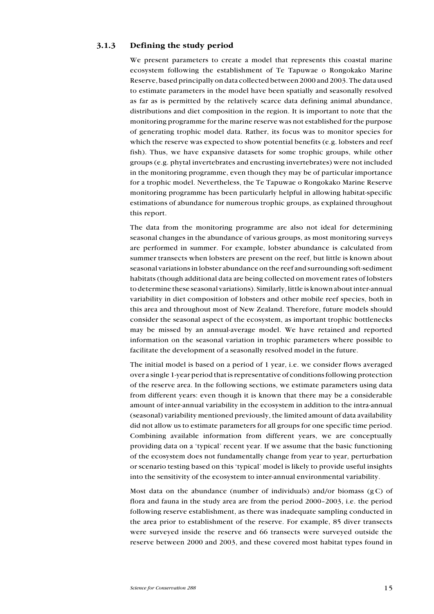#### 3.1.3 Defining the study period

We present parameters to create a model that represents this coastal marine ecosystem following the establishment of Te Tapuwae o Rongokako Marine Reserve, based principally on data collected between 2000 and 2003. The data used to estimate parameters in the model have been spatially and seasonally resolved as far as is permitted by the relatively scarce data defining animal abundance, distributions and diet composition in the region. It is important to note that the monitoring programme for the marine reserve was not established for the purpose of generating trophic model data. Rather, its focus was to monitor species for which the reserve was expected to show potential benefits (e.g. lobsters and reef fish). Thus, we have expansive datasets for some trophic groups, while other groups (e.g. phytal invertebrates and encrusting invertebrates) were not included in the monitoring programme, even though they may be of particular importance for a trophic model. Nevertheless, the Te Tapuwae o Rongokako Marine Reserve monitoring programme has been particularly helpful in allowing habitat-specific estimations of abundance for numerous trophic groups, as explained throughout this report.

The data from the monitoring programme are also not ideal for determining seasonal changes in the abundance of various groups, as most monitoring surveys are performed in summer. For example, lobster abundance is calculated from summer transects when lobsters are present on the reef, but little is known about seasonal variations in lobster abundance on the reef and surrounding soft-sediment habitats (though additional data are being collected on movement rates of lobsters to determine these seasonal variations). Similarly, little is known about inter-annual variability in diet composition of lobsters and other mobile reef species, both in this area and throughout most of New Zealand. Therefore, future models should consider the seasonal aspect of the ecosystem, as important trophic bottlenecks may be missed by an annual-average model. We have retained and reported information on the seasonal variation in trophic parameters where possible to facilitate the development of a seasonally resolved model in the future.

The initial model is based on a period of 1 year, i.e. we consider flows averaged over a single 1-year period that is representative of conditions following protection of the reserve area. In the following sections, we estimate parameters using data from different years: even though it is known that there may be a considerable amount of inter-annual variability in the ecosystem in addition to the intra-annual (seasonal) variability mentioned previously, the limited amount of data availability did not allow us to estimate parameters for all groups for one specific time period. Combining available information from different years, we are conceptually providing data on a 'typical' recent year. If we assume that the basic functioning of the ecosystem does not fundamentally change from year to year, perturbation or scenario testing based on this 'typical' model is likely to provide useful insights into the sensitivity of the ecosystem to inter-annual environmental variability.

Most data on the abundance (number of individuals) and/or biomass (g C) of flora and fauna in the study area are from the period 2000–2003, i.e. the period following reserve establishment, as there was inadequate sampling conducted in the area prior to establishment of the reserve. For example, 85 diver transects were surveyed inside the reserve and 66 transects were surveyed outside the reserve between 2000 and 2003, and these covered most habitat types found in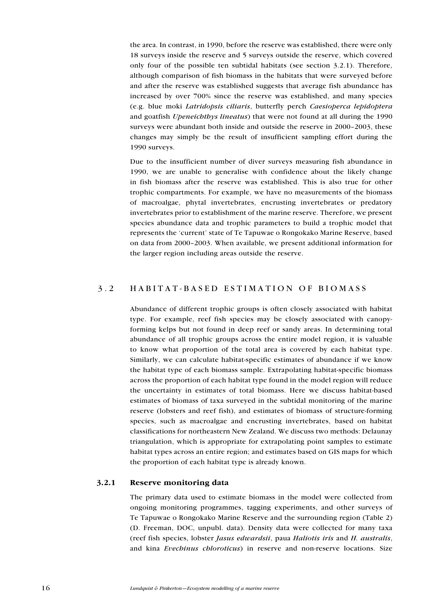the area. In contrast, in 1990, before the reserve was established, there were only 18 surveys inside the reserve and 5 surveys outside the reserve, which covered only four of the possible ten subtidal habitats (see section 3.2.1). Therefore, although comparison of fish biomass in the habitats that were surveyed before and after the reserve was established suggests that average fish abundance has increased by over 700% since the reserve was established, and many species (e.g. blue moki Latridopsis ciliaris, butterfly perch Caesioperca lepidoptera and goatfish Upeneichthys lineatus) that were not found at all during the 1990 surveys were abundant both inside and outside the reserve in 2000–2003, these changes may simply be the result of insufficient sampling effort during the 1990 surveys.

Due to the insufficient number of diver surveys measuring fish abundance in 1990, we are unable to generalise with confidence about the likely change in fish biomass after the reserve was established. This is also true for other trophic compartments. For example, we have no measurements of the biomass of macroalgae, phytal invertebrates, encrusting invertebrates or predatory invertebrates prior to establishment of the marine reserve. Therefore, we present species abundance data and trophic parameters to build a trophic model that represents the 'current' state of Te Tapuwae o Rongokako Marine Reserve, based on data from 2000–2003. When available, we present additional information for the larger region including areas outside the reserve.

#### 3.2 HABITAT-BASED ESTIMATION OF BIOMASS

Abundance of different trophic groups is often closely associated with habitat type. For example, reef fish species may be closely associated with canopyforming kelps but not found in deep reef or sandy areas. In determining total abundance of all trophic groups across the entire model region, it is valuable to know what proportion of the total area is covered by each habitat type. Similarly, we can calculate habitat-specific estimates of abundance if we know the habitat type of each biomass sample. Extrapolating habitat-specific biomass across the proportion of each habitat type found in the model region will reduce the uncertainty in estimates of total biomass. Here we discuss habitat-based estimates of biomass of taxa surveyed in the subtidal monitoring of the marine reserve (lobsters and reef fish), and estimates of biomass of structure-forming species, such as macroalgae and encrusting invertebrates, based on habitat classifications for northeastern New Zealand. We discuss two methods: Delaunay triangulation, which is appropriate for extrapolating point samples to estimate habitat types across an entire region; and estimates based on GIS maps for which the proportion of each habitat type is already known.

#### 3.2.1 Reserve monitoring data

The primary data used to estimate biomass in the model were collected from ongoing monitoring programmes, tagging experiments, and other surveys of Te Tapuwae o Rongokako Marine Reserve and the surrounding region (Table 2) (D. Freeman, DOC, unpubl. data). Density data were collected for many taxa (reef fish species, lobster Jasus edwardsii, paua Haliotis iris and H. australis, and kina Evechinus chloroticus) in reserve and non-reserve locations. Size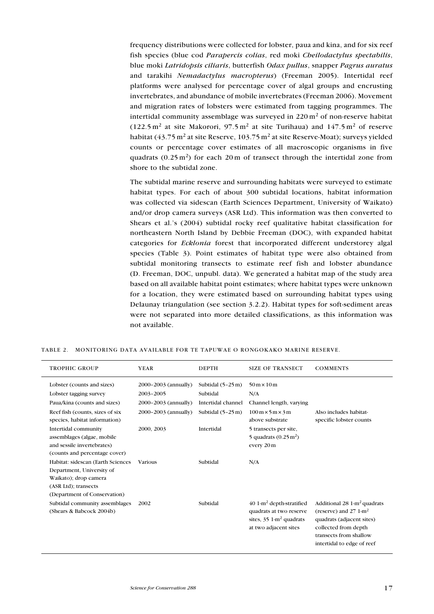frequency distributions were collected for lobster, paua and kina, and for six reef fish species (blue cod Parapercis colias, red moki Cheilodactylus spectabilis, blue moki Latridopsis ciliaris, butterfish Odax pullus, snapper Pagrus auratus and tarakihi Nemadactylus macropterus) (Freeman 2005). Intertidal reef platforms were analysed for percentage cover of algal groups and encrusting invertebrates, and abundance of mobile invertebrates (Freeman 2006). Movement and migration rates of lobsters were estimated from tagging programmes. The intertidal community assemblage was surveyed in  $220 \text{ m}^2$  of non-reserve habitat (122.5 m<sup>2</sup> at site Makorori, 97.5 m<sup>2</sup> at site Turihaua) and  $147.5$  m<sup>2</sup> of reserve habitat  $(43.75 \text{ m}^2$  at site Reserve, 103.75 m<sup>2</sup> at site Reserve-Moat); surveys yielded counts or percentage cover estimates of all macroscopic organisms in five quadrats  $(0.25 \text{ m}^2)$  for each 20 m of transect through the intertidal zone from shore to the subtidal zone.

The subtidal marine reserve and surrounding habitats were surveyed to estimate habitat types. For each of about 300 subtidal locations, habitat information was collected via sidescan (Earth Sciences Department, University of Waikato) and/or drop camera surveys (ASR Ltd). This information was then converted to Shears et al.'s (2004) subtidal rocky reef qualitative habitat classification for northeastern North Island by Debbie Freeman (DOC), with expanded habitat categories for Ecklonia forest that incorporated different understorey algal species (Table 3). Point estimates of habitat type were also obtained from subtidal monitoring transects to estimate reef fish and lobster abundance (D. Freeman, DOC, unpubl. data). We generated a habitat map of the study area based on all available habitat point estimates; where habitat types were unknown for a location, they were estimated based on surrounding habitat types using Delaunay triangulation (see section 3.2.2). Habitat types for soft-sediment areas were not separated into more detailed classifications, as this information was not available.

| <b>TROPHIC GROUP</b>                                                                                                                            | <b>YEAR</b>                                  | <b>DEPTH</b>                             | <b>SIZE OF TRANSECT</b>                                                                                                          | <b>COMMENTS</b>                                                                                                                                                                          |
|-------------------------------------------------------------------------------------------------------------------------------------------------|----------------------------------------------|------------------------------------------|----------------------------------------------------------------------------------------------------------------------------------|------------------------------------------------------------------------------------------------------------------------------------------------------------------------------------------|
| Lobster (counts and sizes)<br>Lobster tagging survey                                                                                            | 2000-2003 (annually)<br>2003-2005            | Subtidal $(5-25m)$<br>Subtidal           | $50 \text{ m} \times 10 \text{ m}$<br>N/A                                                                                        |                                                                                                                                                                                          |
| Paua/kina (counts and sizes)<br>Reef fish (counts, sizes of six<br>species, habitat information)                                                | 2000-2003 (annually)<br>2000-2003 (annually) | Intertidal channel<br>Subtidal $(5-25m)$ | Channel length, varying<br>$100 \,\mathrm{m} \times 5 \,\mathrm{m} \times 3 \,\mathrm{m}$<br>above substrate                     | Also includes habitat-<br>specific lobster counts                                                                                                                                        |
| Intertidal community<br>assemblages (algae, mobile)<br>and sessile invertebrates)<br>(counts and percentage cover)                              | 2000, 2003                                   | Intertidal                               | 5 transects per site,<br>5 quadrats $(0.25 \,\mathrm{m}^2)$<br>every 20 m                                                        |                                                                                                                                                                                          |
| Habitat: sidescan (Earth Sciences<br>Department, University of<br>Waikato); drop camera<br>(ASR Ltd); transects<br>(Department of Conservation) | Various                                      | Subtidal                                 | N/A                                                                                                                              |                                                                                                                                                                                          |
| Subtidal community assemblages<br>(Shears & Babcock 2004b)                                                                                      | 2002                                         | Subtidal                                 | $40$ 1-m <sup>2</sup> depth-stratified<br>quadrats at two reserve<br>sites, $35 \text{ 1-m}^2$ quadrats<br>at two adjacent sites | Additional 28 1-m <sup>2</sup> quadrats<br>(reserve) and $27 \text{ 1-m}^2$<br>quadrats (adjacent sites)<br>collected from depth<br>transects from shallow<br>intertidal to edge of reef |

| TABLE 2. MONITORING DATA AVAILABLE FOR TE TAPUWAE O RONGOKAKO MARINE RESERVE. |  |  |  |  |  |  |
|-------------------------------------------------------------------------------|--|--|--|--|--|--|
|-------------------------------------------------------------------------------|--|--|--|--|--|--|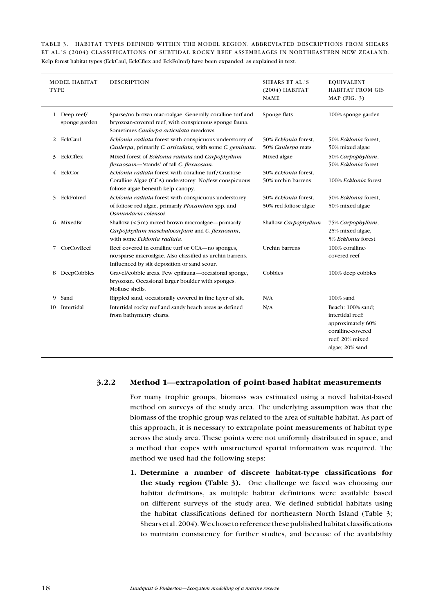Table 3. Habitat types defined within the model region. Abbreviated descriptions from Shears et al.'s (2004) classifications of subtidal rocky reef assemblages in northeastern New Zealand. Kelp forest habitat types (EckCaul, EckCflex and EckFolred) have been expanded, as explained in text.

| <b>TYPE</b> | MODEL HABITAT               | <b>DESCRIPTION</b>                                                                                                                                            | <b>SHEARS ET AL.'S</b><br>$(2004)$ HABITAT<br><b>NAME</b> | <b>EQUIVALENT</b><br><b>HABITAT FROM GIS</b><br>$MAP$ (FIG. 3)                                                        |
|-------------|-----------------------------|---------------------------------------------------------------------------------------------------------------------------------------------------------------|-----------------------------------------------------------|-----------------------------------------------------------------------------------------------------------------------|
| 1           | Deep reef/<br>sponge garden | Sparse/no brown macroalgae. Generally coralline turf and<br>bryozoan-covered reef, with conspicuous sponge fauna.<br>Sometimes Caulerpa articulata meadows.   | Sponge flats                                              | 100% sponge garden                                                                                                    |
| 2           | EckCaul                     | Ecklonia radiata forest with conspicuous understorey of                                                                                                       | 50% Ecklonia forest,                                      | 50% Ecklonia forest.                                                                                                  |
|             |                             | Caulerpa, primarily C. articulata, with some C. geminata.                                                                                                     | 50% Caulerpa mats                                         | 50% mixed algae                                                                                                       |
| 3           | EckCflex                    | Mixed forest of Ecklonia radiata and Carpophyllum<br>flexuosum-'stands' of tall C. flexuosum.                                                                 | Mixed algae                                               | 50% Carpophyllum,<br>50% Ecklonia forest                                                                              |
| 4           | EckCor                      | Ecklonia radiata forest with coralline turf/Crustose                                                                                                          | 50% Ecklonia forest,                                      |                                                                                                                       |
|             |                             | Coralline Algae (CCA) understorey. No/few conspicuous<br>foliose algae beneath kelp canopy.                                                                   | 50% urchin barrens                                        | 100% Ecklonia forest                                                                                                  |
| 5           | EckFolred                   | Ecklonia radiata forest with conspicuous understorey                                                                                                          | 50% Ecklonia forest,                                      | 50% Ecklonia forest.                                                                                                  |
|             |                             | of foliose red algae, primarily <i>Plocamium</i> spp. and<br>Osmundaria colensoi.                                                                             | 50% red foliose algae                                     | 50% mixed algae                                                                                                       |
| 6           | MixedBr                     | Shallow $(5m)$ mixed brown macroalgae—primarily<br>Carpophyllum maschalocarpum and C. flexuosum,<br>with some Ecklonia radiata.                               | Shallow Carpophyllum                                      | 75% Carpophyllum,<br>25% mixed algae,<br>5% Ecklonia forest                                                           |
| 7           | CorCovReef                  | Reef covered in coralline turf or CCA-no sponges,<br>no/sparse macroalgae. Also classified as urchin barrens.<br>Influenced by silt deposition or sand scour. | Urchin barrens                                            | 100% coralline-<br>covered reef                                                                                       |
| 8           | DeepCobbles                 | Gravel/cobble areas. Few epifauna-occasional sponge,<br>bryozoan. Occasional larger boulder with sponges.<br>Mollusc shells.                                  | Cobbles                                                   | 100% deep cobbles                                                                                                     |
| 9           | Sand                        | Rippled sand, occasionally covered in fine layer of silt.                                                                                                     | N/A                                                       | $100\%$ sand                                                                                                          |
| 10          | Intertidal                  | Intertidal rocky reef and sandy beach areas as defined<br>from bathymetry charts.                                                                             | N/A                                                       | Beach: 100% sand:<br>intertidal reef:<br>approximately 60%<br>coralline-covered<br>reef; 20% mixed<br>algae; 20% sand |

## 3.2.2 Method 1—extrapolation of point-based habitat measurements

For many trophic groups, biomass was estimated using a novel habitat-based method on surveys of the study area. The underlying assumption was that the biomass of the trophic group was related to the area of suitable habitat. As part of this approach, it is necessary to extrapolate point measurements of habitat type across the study area. These points were not uniformly distributed in space, and a method that copes with unstructured spatial information was required. The method we used had the following steps:

1. Determine a number of discrete habitat-type classifications for the study region (Table 3). One challenge we faced was choosing our habitat definitions, as multiple habitat definitions were available based on different surveys of the study area. We defined subtidal habitats using the habitat classifications defined for northeastern North Island (Table 3; Shears et al. 2004). We chose to reference these published habitat classifications to maintain consistency for further studies, and because of the availability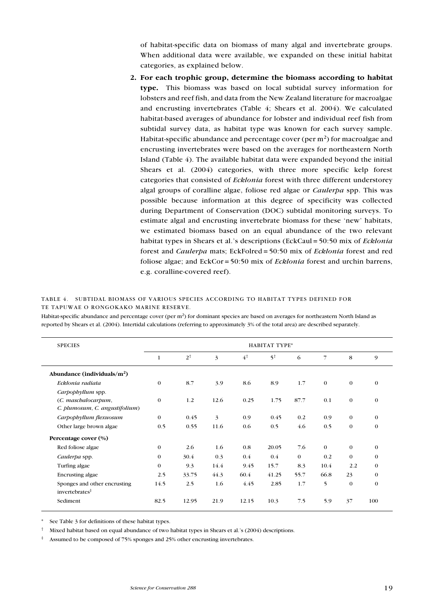of habitat-specific data on biomass of many algal and invertebrate groups. When additional data were available, we expanded on these initial habitat categories, as explained below.

2. For each trophic group, determine the biomass according to habitat type. This biomass was based on local subtidal survey information for lobsters and reef fish, and data from the New Zealand literature for macroalgae and encrusting invertebrates (Table 4; Shears et al. 2004). We calculated habitat-based averages of abundance for lobster and individual reef fish from subtidal survey data, as habitat type was known for each survey sample. Habitat-specific abundance and percentage cover (per  $m<sup>2</sup>$ ) for macroalgae and encrusting invertebrates were based on the averages for northeastern North Island (Table 4). The available habitat data were expanded beyond the initial Shears et al. (2004) categories, with three more specific kelp forest categories that consisted of Ecklonia forest with three different understorey algal groups of coralline algae, foliose red algae or Caulerpa spp. This was possible because information at this degree of specificity was collected during Department of Conservation (DOC) subtidal monitoring surveys. To estimate algal and encrusting invertebrate biomass for these 'new' habitats, we estimated biomass based on an equal abundance of the two relevant habitat types in Shears et al.'s descriptions (EckCaul =  $50:50$  mix of *Ecklonia* forest and Caulerpa mats; EckFolred = 50:50 mix of Ecklonia forest and red foliose algae; and EckCor = 50:50 mix of *Ecklonia* forest and urchin barrens, e.g. coralline-covered reef).

#### Table 4. Subtidal biomass of various species according to habitat types defined for Te Tapuwae o Rongokako Marine Reserve.

Habitat-specific abundance and percentage cover (per  $m<sup>2</sup>$ ) for dominant species are based on averages for northeastern North Island as reported by Shears et al. (2004). Intertidal calculations (referring to approximately 3% of the total area) are described separately.

| <b>SPECIES</b>                                             |              |               |      |               | <b>HABITAT TYPE*</b> |          |              |              |              |
|------------------------------------------------------------|--------------|---------------|------|---------------|----------------------|----------|--------------|--------------|--------------|
|                                                            | 1            | $2^{\dagger}$ | 3    | $4^{\dagger}$ | $5^{\dagger}$        | 6        | 7            | 8            | 9            |
| Abundance (individuals/ $m2$ )                             |              |               |      |               |                      |          |              |              |              |
| Ecklonia radiata                                           | $\mathbf{0}$ | 8.7           | 3.9  | 8.6           | 8.9                  | 1.7      | $\mathbf{0}$ | $\mathbf{0}$ | $\mathbf{0}$ |
| Carpophyllum spp.                                          |              |               |      |               |                      |          |              |              |              |
| (C. maschalocarpum,                                        | $\mathbf{0}$ | 1.2           | 12.6 | 0.25          | 1.75                 | 87.7     | 0.1          | $\mathbf{0}$ | $\mathbf{0}$ |
| C. plumosum, C. angustifolium)                             |              |               |      |               |                      |          |              |              |              |
| Carpophyllum flexuosum                                     | $\Omega$     | 0.45          | 3    | 0.9           | 0.45                 | 0.2      | 0.9          | $\mathbf{0}$ | $\mathbf{0}$ |
| Other large brown algae                                    | 0.5          | 0.55          | 11.6 | 0.6           | 0.5                  | 4.6      | 0.5          | $\mathbf{0}$ | $\mathbf{0}$ |
| Percentage cover (%)                                       |              |               |      |               |                      |          |              |              |              |
| Red foliose algae                                          | $\mathbf{0}$ | 2.6           | 1.6  | 0.8           | 20.05                | 7.6      | $\mathbf{0}$ | $\mathbf{0}$ | $\mathbf{0}$ |
| Caulerpa spp.                                              | $\mathbf{0}$ | 30.4          | 0.3  | 0.4           | 0.4                  | $\Omega$ | 0.2          | $\Omega$     | $\Omega$     |
| Turfing algae                                              | $\Omega$     | 9.3           | 14.4 | 9.45          | 15.7                 | 8.3      | 10.4         | 2.2          | $\Omega$     |
| Encrusting algae                                           | 2.5          | 33.75         | 44.3 | 60.4          | 41.25                | 55.7     | 66.8         | 23           | $\mathbf{0}$ |
| Sponges and other encrusting<br>invertebrates <sup>‡</sup> | 14.5         | 2.5           | 1.6  | 4.45          | 2.85                 | 1.7      | 5            | $\Omega$     | $\Omega$     |
| Sediment                                                   | 82.5         | 12.95         | 21.9 | 12.15         | 10.3                 | 7.5      | 5.9          | 37           | 100          |

\* See Table 3 for definitions of these habitat types.

† Mixed habitat based on equal abundance of two habitat types in Shears et al.'s (2004) descriptions.

‡ Assumed to be composed of 75% sponges and 25% other encrusting invertebrates.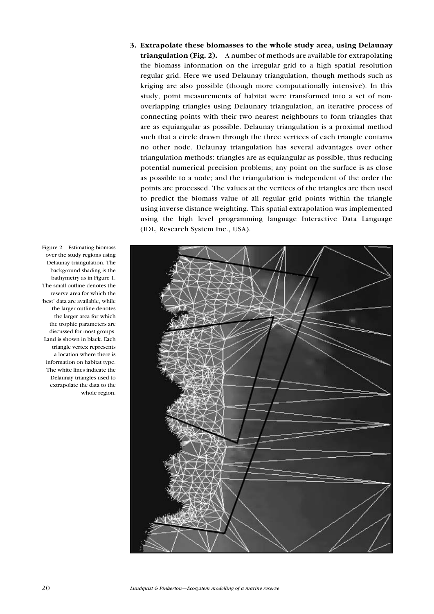3. Extrapolate these biomasses to the whole study area, using Delaunay triangulation (Fig. 2). A number of methods are available for extrapolating the biomass information on the irregular grid to a high spatial resolution regular grid. Here we used Delaunay triangulation, though methods such as kriging are also possible (though more computationally intensive). In this study, point measurements of habitat were transformed into a set of nonoverlapping triangles using Delaunary triangulation, an iterative process of connecting points with their two nearest neighbours to form triangles that are as equiangular as possible. Delaunay triangulation is a proximal method such that a circle drawn through the three vertices of each triangle contains no other node. Delaunay triangulation has several advantages over other triangulation methods: triangles are as equiangular as possible, thus reducing potential numerical precision problems; any point on the surface is as close as possible to a node; and the triangulation is independent of the order the points are processed. The values at the vertices of the triangles are then used to predict the biomass value of all regular grid points within the triangle using inverse distance weighting. This spatial extrapolation was implemented using the high level programming language Interactive Data Language (IDL, Research System Inc., USA).



Figure 2. Estimating biomass over the study regions using Delaunay triangulation. The background shading is the bathymetry as in Figure 1. The small outline denotes the reserve area for which the 'best' data are available, while the larger outline denotes the larger area for which the trophic parameters are discussed for most groups. Land is shown in black. Each triangle vertex represents a location where there is information on habitat type. The white lines indicate the Delaunay triangles used to extrapolate the data to the whole region.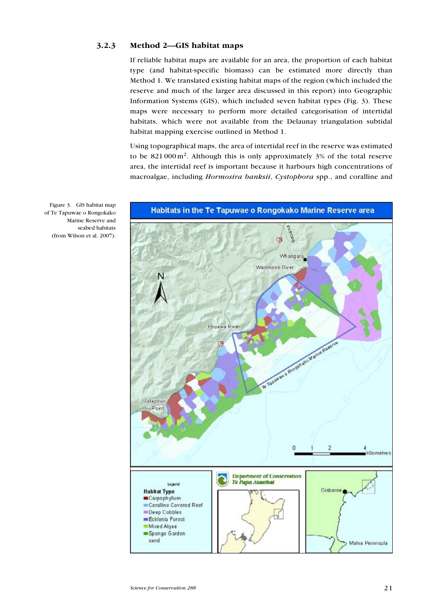#### 3.2.3 Method 2—GIS habitat maps

If reliable habitat maps are available for an area, the proportion of each habitat type (and habitat-specific biomass) can be estimated more directly than Method 1. We translated existing habitat maps of the region (which included the reserve and much of the larger area discussed in this report) into Geographic Information Systems (GIS), which included seven habitat types (Fig. 3). These maps were necessary to perform more detailed categorisation of intertidal habitats, which were not available from the Delaunay triangulation subtidal habitat mapping exercise outlined in Method 1.

Using topographical maps, the area of intertidal reef in the reserve was estimated to be 821 000 m2. Although this is only approximately 3% of the total reserve area, the intertidal reef is important because it harbours high concentrations of macroalgae, including *Hormosira banksii, Cystophora* spp., and coralline and



Figure 3. GIS habitat map of Te Tapuwae o Rongokako Marine Reserve and seabed habitats (from Wilson et al. 2007).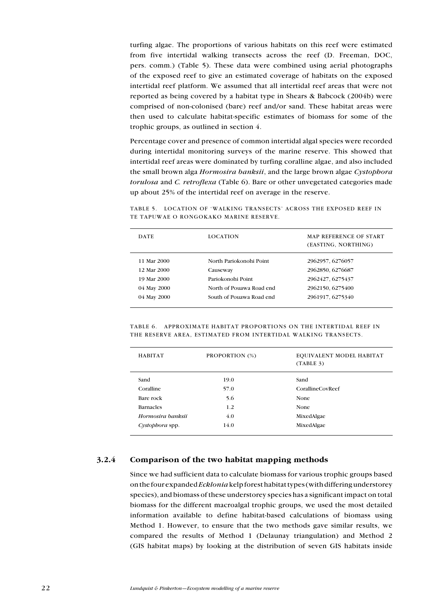turfing algae. The proportions of various habitats on this reef were estimated from five intertidal walking transects across the reef (D. Freeman, DOC, pers. comm.) (Table 5). These data were combined using aerial photographs of the exposed reef to give an estimated coverage of habitats on the exposed intertidal reef platform. We assumed that all intertidal reef areas that were not reported as being covered by a habitat type in Shears & Babcock (2004b) were comprised of non-colonised (bare) reef and/or sand. These habitat areas were then used to calculate habitat-specific estimates of biomass for some of the trophic groups, as outlined in section 4.

Percentage cover and presence of common intertidal algal species were recorded during intertidal monitoring surveys of the marine reserve. This showed that intertidal reef areas were dominated by turfing coralline algae, and also included the small brown alga Hormosira banksii, and the large brown algae Cystophora torulosa and C. retroflexa (Table 6). Bare or other unvegetated categories made up about 25% of the intertidal reef on average in the reserve.

Table 5. Location of 'walking transects' across the exposed reef in Te Tapuwae o Rongokako Marine Reserve.

| <b>DATE</b> | <b>LOCATION</b>          | MAP REFERENCE OF START<br>(EASTING, NORTHING) |
|-------------|--------------------------|-----------------------------------------------|
| 11 Mar 2000 | North Pariokonohi Point  | 2962957, 6276057                              |
| 12 Mar 2000 | Causeway                 | 2962850, 6276687                              |
| 19 Mar 2000 | Pariokonohi Point        | 2962427, 6275437                              |
| 04 May 2000 | North of Pouawa Road end | 2962150, 6275400                              |
| 04 May 2000 | South of Pouawa Road end | 2961917, 6275340                              |
|             |                          |                                               |

Table 6. Approximate habitat proportions on the intertidal reef in the reserve area, estimated from intertidal walking transects.

| <b>HABITAT</b>    | <b>PROPORTION</b> (%) | EQUIVALENT MODEL HABITAT<br>(TABLE 3) |
|-------------------|-----------------------|---------------------------------------|
| Sand              | 19.0                  | Sand                                  |
| Coralline         | 57.0                  | CorallineCovReef                      |
| Bare rock         | 5.6                   | <b>None</b>                           |
| <b>Barnacles</b>  | 1.2                   | None                                  |
| Hormosira banksii | 4.0                   | MixedAlgae                            |
| Cystophora spp.   | 14.0                  | MixedAlgae                            |

#### 3.2.4 Comparison of the two habitat mapping methods

Since we had sufficient data to calculate biomass for various trophic groups based on the four expanded Ecklonia kelp forest habitat types (with differing understorey species), and biomass of these understorey species has a significant impact on total biomass for the different macroalgal trophic groups, we used the most detailed information available to define habitat-based calculations of biomass using Method 1. However, to ensure that the two methods gave similar results, we compared the results of Method 1 (Delaunay triangulation) and Method 2 (GIS habitat maps) by looking at the distribution of seven GIS habitats inside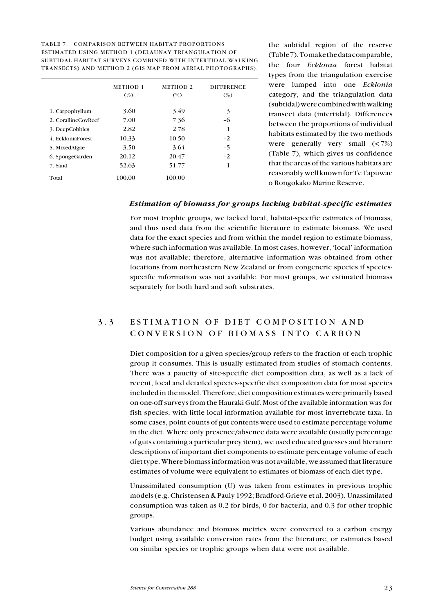Table 7. Comparison between habitat proportions estimated using Method 1 (Delaunay triangulation of subtidal habitat surveys combined with intertidal walking transects) and Method 2 (GIS map from aerial photographs).

|                     | <b>METHOD 1</b><br>(%) | <b>METHOD 2</b><br>(%) | <b>DIFFERENCE</b><br>(%) |
|---------------------|------------------------|------------------------|--------------------------|
| 1. Carpophyllum     | 3.60                   | 3.49                   | 3                        |
| 2. CorallineCovReef | 7.00                   | 7.36                   | -6                       |
| 3. DeepCobbles      | 2.82                   | 2.78                   | 1                        |
| 4. EckloniaForest   | 10.33                  | 10.50                  | $-2$                     |
| 5. MixedAlgae       | 3.50                   | 3.64                   | -5                       |
| 6. SpongeGarden     | 20.12                  | 20.47                  | $-2$                     |
| 7. Sand             | 52.63                  | 51.77                  | 1                        |
| Total               | 100.00                 | 100.00                 |                          |

the subtidal region of the reserve (Table 7). To make the data comparable, the four Ecklonia forest habitat types from the triangulation exercise were lumped into one Ecklonia category, and the triangulation data (subtidal) were combined with walking transect data (intertidal). Differences between the proportions of individual habitats estimated by the two methods were generally very small (< 7%) (Table 7), which gives us confidence that the areas of the various habitats are reasonably well known for Te Tapuwae o Rongokako Marine Reserve.

### Estimation of biomass for groups lacking habitat-specific estimates

For most trophic groups, we lacked local, habitat-specific estimates of biomass, and thus used data from the scientific literature to estimate biomass. We used data for the exact species and from within the model region to estimate biomass, where such information was available. In most cases, however, 'local' information was not available; therefore, alternative information was obtained from other locations from northeastern New Zealand or from congeneric species if speciesspecific information was not available. For most groups, we estimated biomass separately for both hard and soft substrates.

# 3.3 ESTIMATION OF DIET COMPOSITION AND conv e rsion of biomass into carbon

Diet composition for a given species/group refers to the fraction of each trophic group it consumes. This is usually estimated from studies of stomach contents. There was a paucity of site-specific diet composition data, as well as a lack of recent, local and detailed species-specific diet composition data for most species included in the model. Therefore, diet composition estimates were primarily based on one-off surveys from the Hauraki Gulf. Most of the available information was for fish species, with little local information available for most invertebrate taxa. In some cases, point counts of gut contents were used to estimate percentage volume in the diet. Where only presence/absence data were available (usually percentage of guts containing a particular prey item), we used educated guesses and literature descriptions of important diet components to estimate percentage volume of each diet type. Where biomass information was not available, we assumed that literature estimates of volume were equivalent to estimates of biomass of each diet type.

Unassimilated consumption (U) was taken from estimates in previous trophic models (e.g. Christensen & Pauly 1992; Bradford-Grieve et al. 2003). Unassimilated consumption was taken as 0.2 for birds, 0 for bacteria, and 0.3 for other trophic groups.

Various abundance and biomass metrics were converted to a carbon energy budget using available conversion rates from the literature, or estimates based on similar species or trophic groups when data were not available.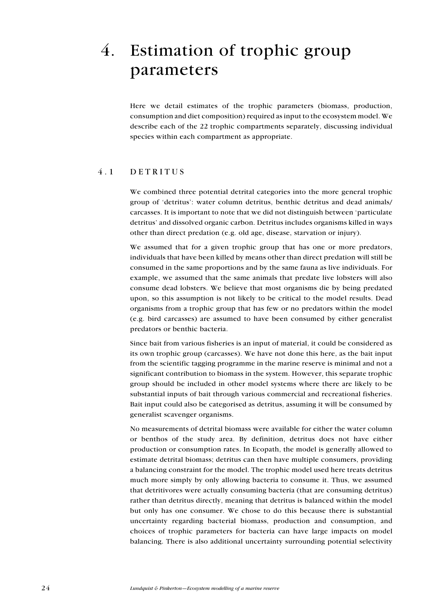# 4. Estimation of trophic group parameters

Here we detail estimates of the trophic parameters (biomass, production, consumption and diet composition) required as input to the ecosystem model. We describe each of the 22 trophic compartments separately, discussing individual species within each compartment as appropriate.

# 4.1 DETRITUS

We combined three potential detrital categories into the more general trophic group of 'detritus': water column detritus, benthic detritus and dead animals/ carcasses. It is important to note that we did not distinguish between 'particulate detritus' and dissolved organic carbon. Detritus includes organisms killed in ways other than direct predation (e.g. old age, disease, starvation or injury).

We assumed that for a given trophic group that has one or more predators, individuals that have been killed by means other than direct predation will still be consumed in the same proportions and by the same fauna as live individuals. For example, we assumed that the same animals that predate live lobsters will also consume dead lobsters. We believe that most organisms die by being predated upon, so this assumption is not likely to be critical to the model results. Dead organisms from a trophic group that has few or no predators within the model (e.g. bird carcasses) are assumed to have been consumed by either generalist predators or benthic bacteria.

Since bait from various fisheries is an input of material, it could be considered as its own trophic group (carcasses). We have not done this here, as the bait input from the scientific tagging programme in the marine reserve is minimal and not a significant contribution to biomass in the system. However, this separate trophic group should be included in other model systems where there are likely to be substantial inputs of bait through various commercial and recreational fisheries. Bait input could also be categorised as detritus, assuming it will be consumed by generalist scavenger organisms.

No measurements of detrital biomass were available for either the water column or benthos of the study area. By definition, detritus does not have either production or consumption rates. In Ecopath, the model is generally allowed to estimate detrital biomass; detritus can then have multiple consumers, providing a balancing constraint for the model. The trophic model used here treats detritus much more simply by only allowing bacteria to consume it. Thus, we assumed that detritivores were actually consuming bacteria (that are consuming detritus) rather than detritus directly, meaning that detritus is balanced within the model but only has one consumer. We chose to do this because there is substantial uncertainty regarding bacterial biomass, production and consumption, and choices of trophic parameters for bacteria can have large impacts on model balancing. There is also additional uncertainty surrounding potential selectivity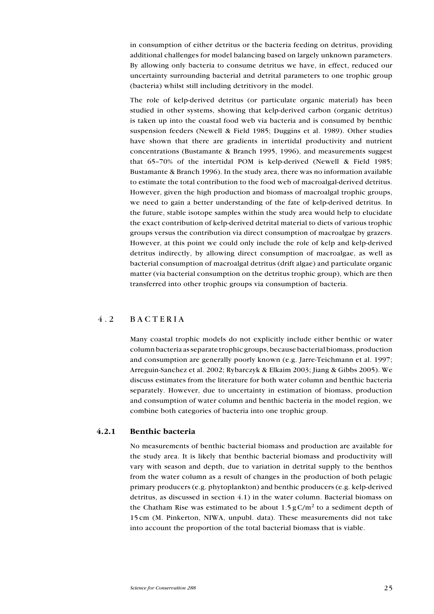in consumption of either detritus or the bacteria feeding on detritus, providing additional challenges for model balancing based on largely unknown parameters. By allowing only bacteria to consume detritus we have, in effect, reduced our uncertainty surrounding bacterial and detrital parameters to one trophic group (bacteria) whilst still including detritivory in the model.

The role of kelp-derived detritus (or particulate organic material) has been studied in other systems, showing that kelp-derived carbon (organic detritus) is taken up into the coastal food web via bacteria and is consumed by benthic suspension feeders (Newell & Field 1985; Duggins et al. 1989). Other studies have shown that there are gradients in intertidal productivity and nutrient concentrations (Bustamante & Branch 1995, 1996), and measurements suggest that 65–70% of the intertidal POM is kelp-derived (Newell & Field 1985; Bustamante & Branch 1996). In the study area, there was no information available to estimate the total contribution to the food web of macroalgal-derived detritus. However, given the high production and biomass of macroalgal trophic groups, we need to gain a better understanding of the fate of kelp-derived detritus. In the future, stable isotope samples within the study area would help to elucidate the exact contribution of kelp-derived detrital material to diets of various trophic groups versus the contribution via direct consumption of macroalgae by grazers. However, at this point we could only include the role of kelp and kelp-derived detritus indirectly, by allowing direct consumption of macroalgae, as well as bacterial consumption of macroalgal detritus (drift algae) and particulate organic matter (via bacterial consumption on the detritus trophic group), which are then transferred into other trophic groups via consumption of bacteria.

# 4.2 BACTERIA

Many coastal trophic models do not explicitly include either benthic or water column bacteria as separate trophic groups, because bacterial biomass, production and consumption are generally poorly known (e.g. Jarre-Teichmann et al. 1997; Arreguin-Sanchez et al. 2002; Rybarczyk & Elkaim 2003; Jiang & Gibbs 2005). We discuss estimates from the literature for both water column and benthic bacteria separately. However, due to uncertainty in estimation of biomass, production and consumption of water column and benthic bacteria in the model region, we combine both categories of bacteria into one trophic group.

#### 4.2.1 Benthic bacteria

No measurements of benthic bacterial biomass and production are available for the study area. It is likely that benthic bacterial biomass and productivity will vary with season and depth, due to variation in detrital supply to the benthos from the water column as a result of changes in the production of both pelagic primary producers (e.g. phytoplankton) and benthic producers (e.g. kelp-derived detritus, as discussed in section 4.1) in the water column. Bacterial biomass on the Chatham Rise was estimated to be about  $1.5 \frac{\text{g}}{\text{m}^2}$  to a sediment depth of 15 cm (M. Pinkerton, NIWA, unpubl. data). These measurements did not take into account the proportion of the total bacterial biomass that is viable.